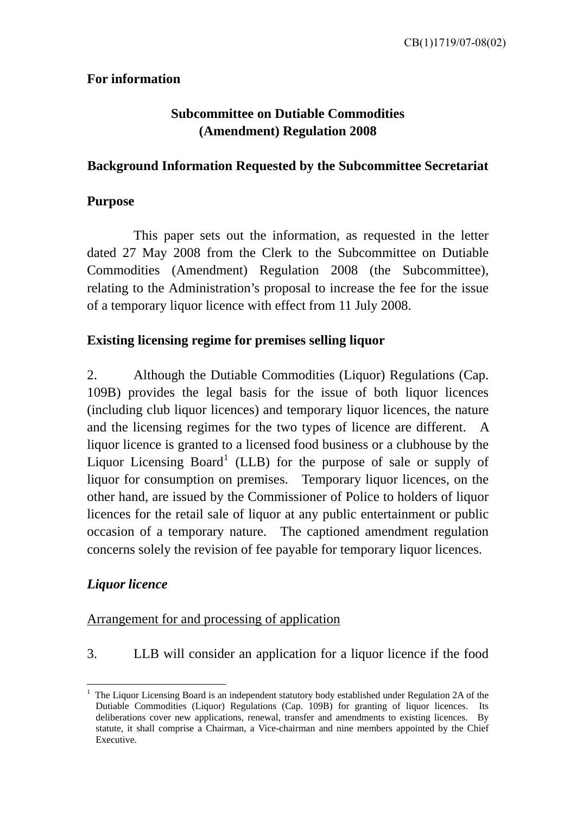### **For information**

# **Subcommittee on Dutiable Commodities (Amendment) Regulation 2008**

### **Background Information Requested by the Subcommittee Secretariat**

### **Purpose**

This paper sets out the information, as requested in the letter dated 27 May 2008 from the Clerk to the Subcommittee on Dutiable Commodities (Amendment) Regulation 2008 (the Subcommittee), relating to the Administration's proposal to increase the fee for the issue of a temporary liquor licence with effect from 11 July 2008.

### **Existing licensing regime for premises selling liquor**

2. Although the Dutiable Commodities (Liquor) Regulations (Cap. 109B) provides the legal basis for the issue of both liquor licences (including club liquor licences) and temporary liquor licences, the nature and the licensing regimes for the two types of licence are different. A liquor licence is granted to a licensed food business or a clubhouse by the Liquor Licensing Board<sup>[1](#page-0-0)</sup> (LLB) for the purpose of sale or supply of liquor for consumption on premises. Temporary liquor licences, on the other hand, are issued by the Commissioner of Police to holders of liquor licences for the retail sale of liquor at any public entertainment or public occasion of a temporary nature. The captioned amendment regulation concerns solely the revision of fee payable for temporary liquor licences.

## *Liquor licence*

<u>.</u>

### Arrangement for and processing of application

3. LLB will consider an application for a liquor licence if the food

<span id="page-0-0"></span><sup>1</sup> The Liquor Licensing Board is an independent statutory body established under Regulation 2A of the Dutiable Commodities (Liquor) Regulations (Cap. 109B) for granting of liquor licences. Its deliberations cover new applications, renewal, transfer and amendments to existing licences. By statute, it shall comprise a Chairman, a Vice-chairman and nine members appointed by the Chief Executive.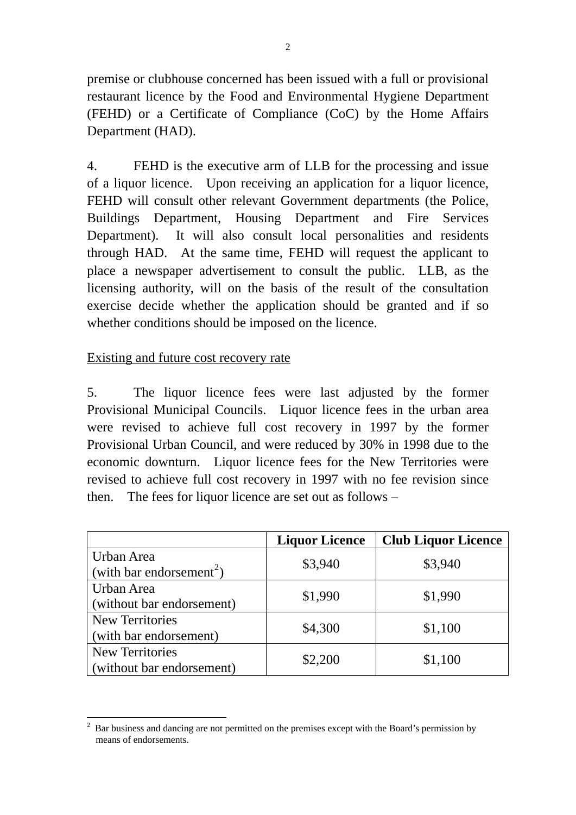premise or clubhouse concerned has been issued with a full or provisional restaurant licence by the Food and Environmental Hygiene Department (FEHD) or a Certificate of Compliance (CoC) by the Home Affairs Department (HAD).

4. FEHD is the executive arm of LLB for the processing and issue of a liquor licence. Upon receiving an application for a liquor licence, FEHD will consult other relevant Government departments (the Police, Buildings Department, Housing Department and Fire Services Department). It will also consult local personalities and residents through HAD. At the same time, FEHD will request the applicant to place a newspaper advertisement to consult the public. LLB, as the licensing authority, will on the basis of the result of the consultation exercise decide whether the application should be granted and if so whether conditions should be imposed on the licence.

#### Existing and future cost recovery rate

5. The liquor licence fees were last adjusted by the former Provisional Municipal Councils. Liquor licence fees in the urban area were revised to achieve full cost recovery in 1997 by the former Provisional Urban Council, and were reduced by 30% in 1998 due to the economic downturn. Liquor licence fees for the New Territories were revised to achieve full cost recovery in 1997 with no fee revision since then. The fees for liquor licence are set out as follows –

|                                                     | <b>Liquor Licence</b> | <b>Club Liquor Licence</b> |
|-----------------------------------------------------|-----------------------|----------------------------|
| Urban Area<br>(with bar endorsement <sup>2</sup> )  | \$3,940               | \$3,940                    |
| Urban Area<br>(without bar endorsement)             | \$1,990               | \$1,990                    |
| <b>New Territories</b><br>(with bar endorsement)    | \$4,300               | \$1,100                    |
| <b>New Territories</b><br>(without bar endorsement) | \$2,200               | \$1,100                    |

<span id="page-1-0"></span><sup>&</sup>lt;u>.</u>  $2^2$  Bar business and dancing are not permitted on the premises except with the Board's permission by means of endorsements.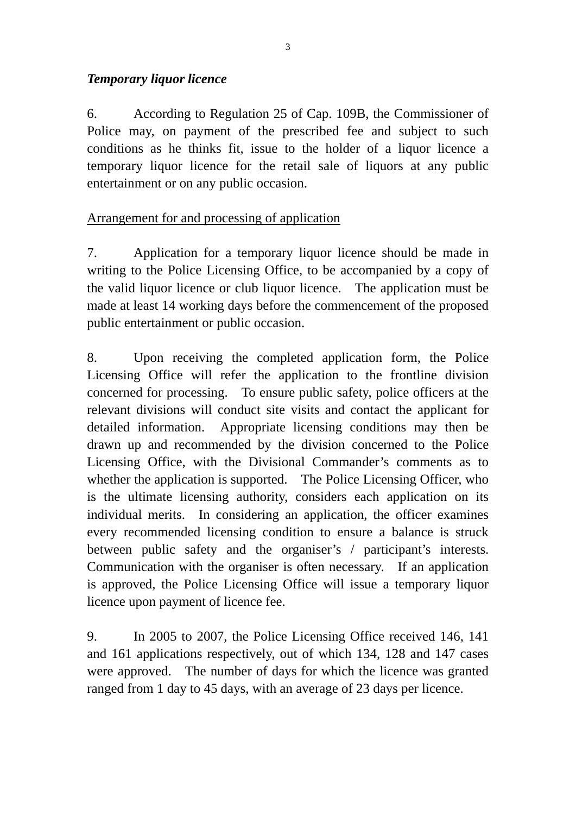## *Temporary liquor licence*

6. According to Regulation 25 of Cap. 109B, the Commissioner of Police may, on payment of the prescribed fee and subject to such conditions as he thinks fit, issue to the holder of a liquor licence a temporary liquor licence for the retail sale of liquors at any public entertainment or on any public occasion.

# Arrangement for and processing of application

7. Application for a temporary liquor licence should be made in writing to the Police Licensing Office, to be accompanied by a copy of the valid liquor licence or club liquor licence. The application must be made at least 14 working days before the commencement of the proposed public entertainment or public occasion.

8. Upon receiving the completed application form, the Police Licensing Office will refer the application to the frontline division concerned for processing. To ensure public safety, police officers at the relevant divisions will conduct site visits and contact the applicant for detailed information. Appropriate licensing conditions may then be drawn up and recommended by the division concerned to the Police Licensing Office, with the Divisional Commander's comments as to whether the application is supported. The Police Licensing Officer, who is the ultimate licensing authority, considers each application on its individual merits. In considering an application, the officer examines every recommended licensing condition to ensure a balance is struck between public safety and the organiser's / participant's interests. Communication with the organiser is often necessary. If an application is approved, the Police Licensing Office will issue a temporary liquor licence upon payment of licence fee.

9. In 2005 to 2007, the Police Licensing Office received 146, 141 and 161 applications respectively, out of which 134, 128 and 147 cases were approved. The number of days for which the licence was granted ranged from 1 day to 45 days, with an average of 23 days per licence.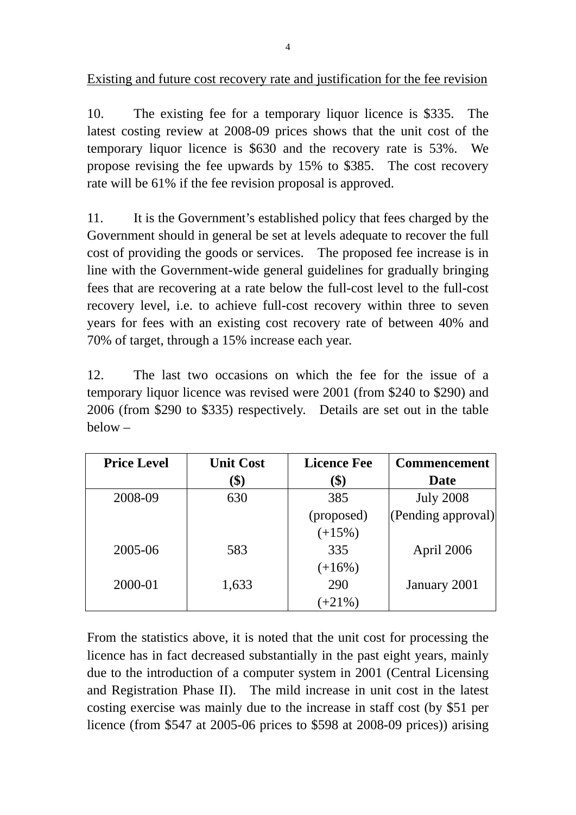Existing and future cost recovery rate and justification for the fee revision

10. The existing fee for a temporary liquor licence is \$335. The latest costing review at 2008-09 prices shows that the unit cost of the temporary liquor licence is \$630 and the recovery rate is 53%. We propose revising the fee upwards by 15% to \$385. The cost recovery rate will be 61% if the fee revision proposal is approved.

11. It is the Government's established policy that fees charged by the Government should in general be set at levels adequate to recover the full cost of providing the goods or services. The proposed fee increase is in line with the Government-wide general guidelines for gradually bringing fees that are recovering at a rate below the full-cost level to the full-cost recovery level, i.e. to achieve full-cost recovery within three to seven years for fees with an existing cost recovery rate of between 40% and 70% of target, through a 15% increase each year.

12. The last two occasions on which the fee for the issue of a temporary liquor licence was revised were 2001 (from \$240 to \$290) and 2006 (from \$290 to \$335) respectively. Details are set out in the table below –

| <b>Price Level</b> | <b>Unit Cost</b> | <b>Licence Fee</b> | <b>Commencement</b> |
|--------------------|------------------|--------------------|---------------------|
|                    | \$)              | (\$)               | Date                |
| 2008-09            | 630              | 385                | <b>July 2008</b>    |
|                    |                  | (proposed)         | (Pending approval)  |
|                    |                  | $(+15%)$           |                     |
| 2005-06            | 583              | 335                | April 2006          |
|                    |                  | $(+16%)$           |                     |
| 2000-01            | 1,633            | 290                | January 2001        |
|                    |                  | $+21\%$ )          |                     |

From the statistics above, it is noted that the unit cost for processing the licence has in fact decreased substantially in the past eight years, mainly due to the introduction of a computer system in 2001 (Central Licensing and Registration Phase II). The mild increase in unit cost in the latest costing exercise was mainly due to the increase in staff cost (by \$51 per licence (from \$547 at 2005-06 prices to \$598 at 2008-09 prices)) arising